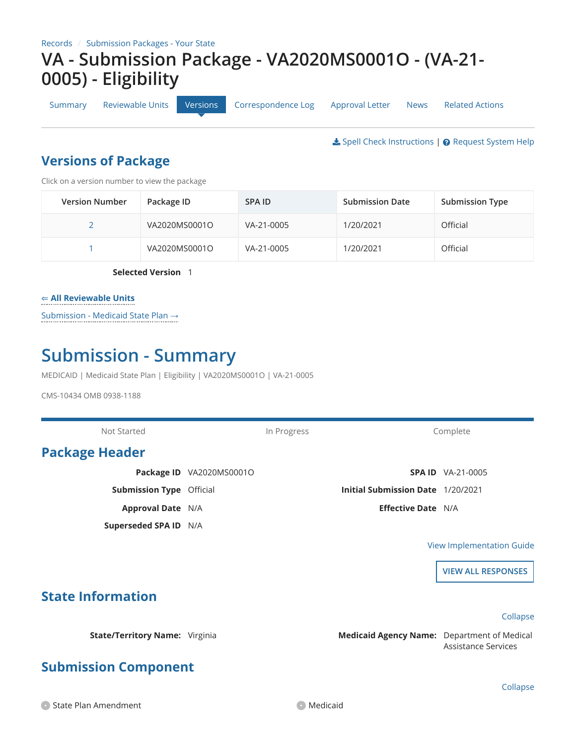[Summary](https://macpro.cms.gov/suite/tempo/records/item/lUBGxuxnAYNcw8V8rAl1iLjGcRpO0563FFKDcSDPuFMYpuiOsfFgFQcOtpY00haWWLNNI2msC18tEYyrkW-H6tuEyEh_s0lsRaaOcoe_wuAakZgERPq/view/summary) [Reviewable Units](https://macpro.cms.gov/suite/tempo/records/item/lUBGxuxnAYNcw8V8rAl1iLjGcRpO0563FFKDcSDPuFMYpuiOsfFgFQcOtpY00haWWLNNI2msC18tEYyrkW-H6tuEyEh_s0lsRaaOcoe_wuAakZgERPq/view/_Ee24cA) [Versions](https://macpro.cms.gov/suite/tempo/records/item/lUBGxuxnAYNcw8V8rAl1iLjGcRpO0563FFKDcSDPuFMYpuiOsfFgFQcOtpY00haWWLNNI2msC18tEYyrkW-H6tuEyEh_s0lsRaaOcoe_wuAakZgERPq/view/_NdilWg) [Correspondence Log](https://macpro.cms.gov/suite/tempo/records/item/lUBGxuxnAYNcw8V8rAl1iLjGcRpO0563FFKDcSDPuFMYpuiOsfFgFQcOtpY00haWWLNNI2msC18tEYyrkW-H6tuEyEh_s0lsRaaOcoe_wuAakZgERPq/view/_BR2Fow) [Approval Letter](https://macpro.cms.gov/suite/tempo/records/item/lUBGxuxnAYNcw8V8rAl1iLjGcRpO0563FFKDcSDPuFMYpuiOsfFgFQcOtpY00haWWLNNI2msC18tEYyrkW-H6tuEyEh_s0lsRaaOcoe_wuAakZgERPq/view/_FNAtnA) [News](https://macpro.cms.gov/suite/tempo/records/item/lUBGxuxnAYNcw8V8rAl1iLjGcRpO0563FFKDcSDPuFMYpuiOsfFgFQcOtpY00haWWLNNI2msC18tEYyrkW-H6tuEyEh_s0lsRaaOcoe_wuAakZgERPq/view/news) [Related Actions](https://macpro.cms.gov/suite/tempo/records/item/lUBGxuxnAYNcw8V8rAl1iLjGcRpO0563FFKDcSDPuFMYpuiOsfFgFQcOtpY00haWWLNNI2msC18tEYyrkW-H6tuEyEh_s0lsRaaOcoe_wuAakZgERPq/view/actions)

**Spell Check Instructions | ⊘ [Request System Help](https://macpro.cms.gov/suite/tempo/actions/item/kwBGxuxnAYNcw8V8rAkwGu9Ws3IqHhX_wU9otdoJLMmhXOqQS87I8m14_nwVm7Q7reI4a0_N17CPtC2I1RT020YD7s5BrD3DqT9xSWV)** 

### **Versions of Package**

Click on a version number to view the package

| <b>Version Number</b> | Package ID    | SPA ID     | <b>Submission Date</b> | <b>Submission Type</b> |
|-----------------------|---------------|------------|------------------------|------------------------|
|                       | VA2020MS0001O | VA-21-0005 | 1/20/2021              | Official               |
|                       | VA2020MS0001O | VA-21-0005 | 1/20/2021              | Official               |

**Selected Version** 1

#### ⇐ **All Reviewable Units**

Submission - Medicaid State Plan →

## **Submission - Summary**

MEDICAID | Medicaid State Plan | Eligibility | VA2020MS0001O | VA-21-0005

CMS-10434 OMB 0938-1188

Not Started **In Progress** Complete **Package Header Package ID** VA2020MS0001O **Submission Type** Official **Approval Date** N/A **Superseded SPA ID** N/A **SPA ID** VA-21-0005 **Initial Submission Date** 1/20/2021 **Effective Date** N/A

#### [View Implementation Guide](https://macpro.cms.gov/suite/rest/a/content/latest/isBGxuxnAYNcw8V8rMhzW-5WqwQ7f3PR8rEsuOissiTDozg-Tw-H0keQTMe/o)

**VIEW ALL RESPONSES**

#### **State Information**

### **Submission Component**

**State/Territory Name:** Virginia **Medicaid Agency Name:** Department of Medical Assistance Services

Collapse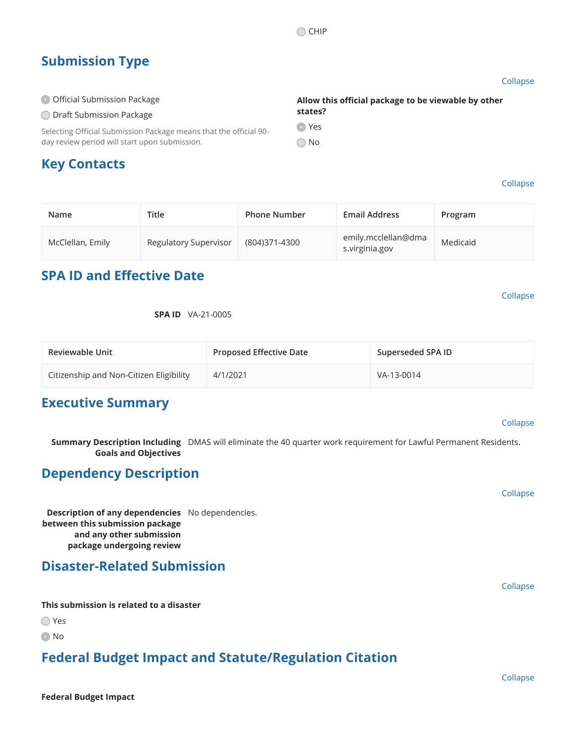### **Submission Type**

**Official Submission Package O Draft Submission Package** 

**Key Contacts**

Collapse

#### Collapse

| Name             | Title                 | <b>Phone Number</b> | <b>Email Address</b>                  | Program  |
|------------------|-----------------------|---------------------|---------------------------------------|----------|
| McClellan, Emily | Regulatory Supervisor | (804)371-4300       | emily.mcclellan@dma<br>s.virginia.gov | Medicaid |

#### **SPA ID and Effective Date**

day review period will start upon submission.

Selecting Official Submission Package means that the official 90-

Collapse

**SPA ID** VA-21-0005

| <b>Reviewable Unit</b>                  | <b>Proposed Effective Date</b> | Superseded SPA ID |
|-----------------------------------------|--------------------------------|-------------------|
| Citizenship and Non-Citizen Eligibility | 4/1/2021                       | VA-13-0014        |

#### **Executive Summary**

#### Collapse

**Summary Description Including** DMAS will eliminate the 40 quarter work requirement for Lawful Permanent Residents. **Goals and Objectives**

#### **Dependency Description**

**Description of any dependencies** No dependencies. **between this submission package and any other submission package undergoing review**

#### **Disaster-Related Submission**

**This submission is related to a disaster**

◯ Yes

**O** No

### **Federal Budget Impact and Statute/Regulation Citation**



Collapse

Collapse

**Allow this official package to be viewable by other**

**O** Yes

No

**states?**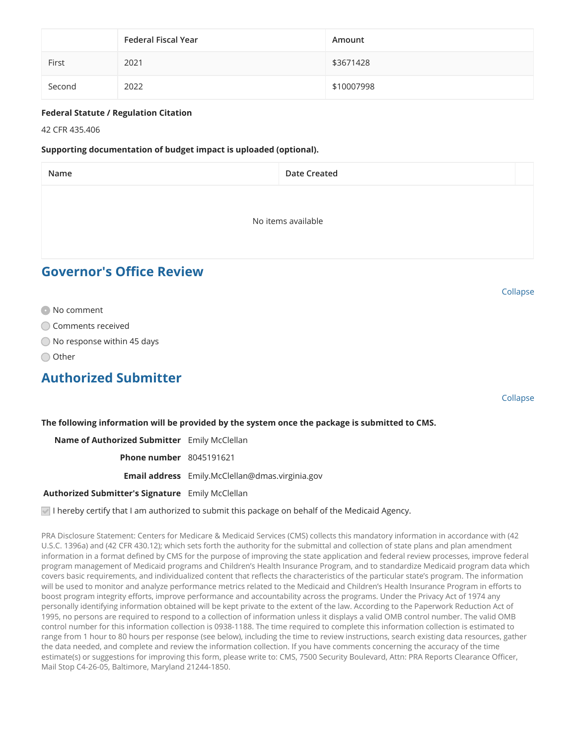|        | <b>Federal Fiscal Year</b> | Amount     |
|--------|----------------------------|------------|
| First  | 2021                       | \$3671428  |
| Second | 2022                       | \$10007998 |

#### **Federal Statute / Regulation Citation**

42 CFR 435.406

#### **Supporting documentation of budget impact is uploaded (optional).**

| Name                            | <b>Date Created</b> |  |
|---------------------------------|---------------------|--|
|                                 |                     |  |
|                                 | No items available  |  |
|                                 |                     |  |
| <b>Governor's Office Review</b> |                     |  |

- **No comment**
- Comments received
- ◯ No response within 45 days
- ◯ Other

#### **Authorized Submitter**

Collapse

Collapse

**The following information will be provided by the system once the package is submitted to CMS.**

**Name of Authorized Submitter** Emily McClellan

**Phone number** 8045191621

**Email address** Emily.McClellan@dmas.virginia.gov

**Authorized Submitter's Signature** Emily McClellan

 $\vee$  I hereby certify that I am authorized to submit this package on behalf of the Medicaid Agency.

PRA Disclosure Statement: Centers for Medicare & Medicaid Services (CMS) collects this mandatory information in accordance with (42 U.S.C. 1396a) and (42 CFR 430.12); which sets forth the authority for the submittal and collection of state plans and plan amendment information in a format defined by CMS for the purpose of improving the state application and federal review processes, improve federal program management of Medicaid programs and Children's Health Insurance Program, and to standardize Medicaid program data which covers basic requirements, and individualized content that reflects the characteristics of the particular state's program. The information will be used to monitor and analyze performance metrics related to the Medicaid and Children's Health Insurance Program in efforts to boost program integrity efforts, improve performance and accountability across the programs. Under the Privacy Act of 1974 any personally identifying information obtained will be kept private to the extent of the law. According to the Paperwork Reduction Act of 1995, no persons are required to respond to a collection of information unless it displays a valid OMB control number. The valid OMB control number for this information collection is 0938-1188. The time required to complete this information collection is estimated to range from 1 hour to 80 hours per response (see below), including the time to review instructions, search existing data resources, gather the data needed, and complete and review the information collection. If you have comments concerning the accuracy of the time estimate(s) or suggestions for improving this form, please write to: CMS, 7500 Security Boulevard, Attn: PRA Reports Clearance Officer, Mail Stop C4-26-05, Baltimore, Maryland 21244-1850.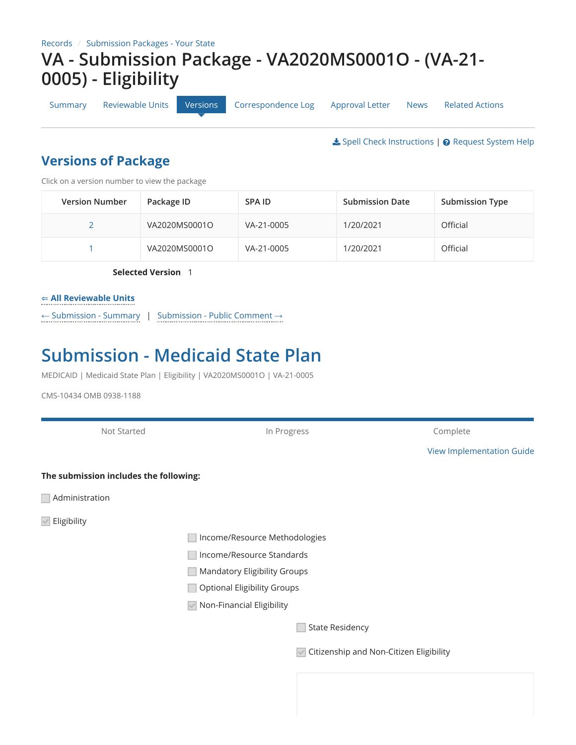[Summary](https://macpro.cms.gov/suite/tempo/records/item/lUBGxuxnAYNcw8V8rAl1iLjGcRpO0563FFKDcSDPuFMYpuiOsfFgFQcOtpY00haWWLNNI2msC18tEYyrkW-H6tuEyEh_s0lsRaaOcoe_wuAakZgERPq/view/summary) [Reviewable Units](https://macpro.cms.gov/suite/tempo/records/item/lUBGxuxnAYNcw8V8rAl1iLjGcRpO0563FFKDcSDPuFMYpuiOsfFgFQcOtpY00haWWLNNI2msC18tEYyrkW-H6tuEyEh_s0lsRaaOcoe_wuAakZgERPq/view/_Ee24cA) [Versions](https://macpro.cms.gov/suite/tempo/records/item/lUBGxuxnAYNcw8V8rAl1iLjGcRpO0563FFKDcSDPuFMYpuiOsfFgFQcOtpY00haWWLNNI2msC18tEYyrkW-H6tuEyEh_s0lsRaaOcoe_wuAakZgERPq/view/_NdilWg) [Correspondence Log](https://macpro.cms.gov/suite/tempo/records/item/lUBGxuxnAYNcw8V8rAl1iLjGcRpO0563FFKDcSDPuFMYpuiOsfFgFQcOtpY00haWWLNNI2msC18tEYyrkW-H6tuEyEh_s0lsRaaOcoe_wuAakZgERPq/view/_BR2Fow) [Approval Letter](https://macpro.cms.gov/suite/tempo/records/item/lUBGxuxnAYNcw8V8rAl1iLjGcRpO0563FFKDcSDPuFMYpuiOsfFgFQcOtpY00haWWLNNI2msC18tEYyrkW-H6tuEyEh_s0lsRaaOcoe_wuAakZgERPq/view/_FNAtnA) [News](https://macpro.cms.gov/suite/tempo/records/item/lUBGxuxnAYNcw8V8rAl1iLjGcRpO0563FFKDcSDPuFMYpuiOsfFgFQcOtpY00haWWLNNI2msC18tEYyrkW-H6tuEyEh_s0lsRaaOcoe_wuAakZgERPq/view/news) [Related Actions](https://macpro.cms.gov/suite/tempo/records/item/lUBGxuxnAYNcw8V8rAl1iLjGcRpO0563FFKDcSDPuFMYpuiOsfFgFQcOtpY00haWWLNNI2msC18tEYyrkW-H6tuEyEh_s0lsRaaOcoe_wuAakZgERPq/view/actions)

**±** [Spell Check Instructions](https://macpro.cms.gov/suite/rest/a/content/latest/isBGxuxnAYNcw8V8rMhzGyzW96cnoVDx4Ch0bEqiNh8FUgjpTL-VteA6pop/o) | ● [Request System Help](https://macpro.cms.gov/suite/tempo/actions/item/kwBGxuxnAYNcw8V8rAkwGu9Ws3IqHhX_wU9otdoJLMmhXOqQS87I8m14_nwVm7Q7reI4a0_N17CPtC2I1RT020YD7s5BrD3DqT9xSWV)

### **Versions of Package**

Click on a version number to view the package

| <b>Version Number</b> | Package ID    | SPA ID     | <b>Submission Date</b> | <b>Submission Type</b> |
|-----------------------|---------------|------------|------------------------|------------------------|
|                       | VA2020MS0001O | VA-21-0005 | 1/20/2021              | Official               |
|                       | VA2020MS0001O | VA-21-0005 | 1/20/2021              | Official               |

**Selected Version** 1

#### <span id="page-3-0"></span>⇐ **[All Reviewable Units](#page-3-0)**

← [Submission - Summary](#page-3-0) | [Submission - Public Comment](#page-3-0) →

## **Submission - Medicaid State Plan**

MEDICAID | Medicaid State Plan | Eligibility | VA2020MS0001O | VA-21-0005

CMS-10434 OMB 0938-1188

| Not Started                            | In Progress                         | Complete                                |  |  |  |
|----------------------------------------|-------------------------------------|-----------------------------------------|--|--|--|
|                                        |                                     | <b>View Implementation Guide</b>        |  |  |  |
| The submission includes the following: |                                     |                                         |  |  |  |
| Administration                         |                                     |                                         |  |  |  |
| $\blacksquare$ Eligibility             |                                     |                                         |  |  |  |
|                                        | Income/Resource Methodologies       |                                         |  |  |  |
|                                        | Income/Resource Standards           |                                         |  |  |  |
|                                        | <b>Mandatory Eligibility Groups</b> |                                         |  |  |  |
|                                        | <b>Optional Eligibility Groups</b>  |                                         |  |  |  |
|                                        | ☑ Non-Financial Eligibility         |                                         |  |  |  |
|                                        |                                     | <b>State Residency</b>                  |  |  |  |
|                                        | $\left  \mathcal{A} \right $        | Citizenship and Non-Citizen Eligibility |  |  |  |
|                                        |                                     |                                         |  |  |  |
|                                        |                                     |                                         |  |  |  |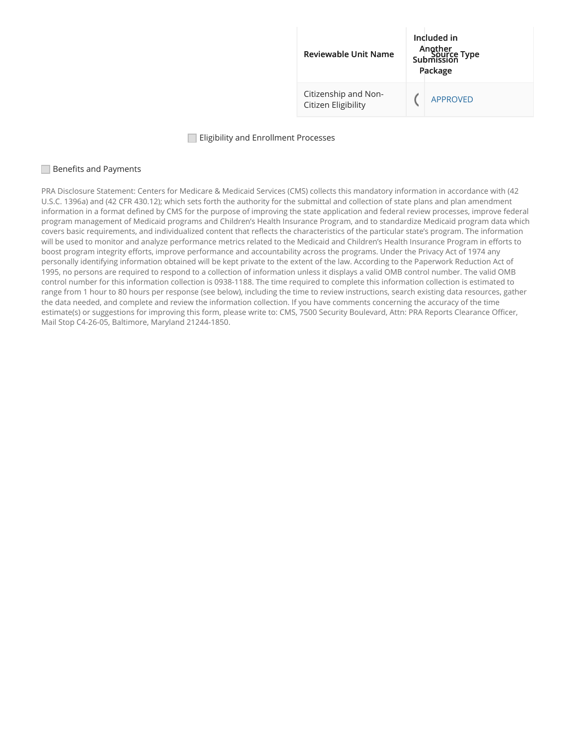

#### **Eligibility and Enrollment Processes**

#### **■Benefits and Payments**

PRA Disclosure Statement: Centers for Medicare & Medicaid Services (CMS) collects this mandatory information in accordance with (42 U.S.C. 1396a) and (42 CFR 430.12); which sets forth the authority for the submittal and collection of state plans and plan amendment information in a format defined by CMS for the purpose of improving the state application and federal review processes, improve federal program management of Medicaid programs and Children's Health Insurance Program, and to standardize Medicaid program data which covers basic requirements, and individualized content that reflects the characteristics of the particular state's program. The information will be used to monitor and analyze performance metrics related to the Medicaid and Children's Health Insurance Program in efforts to boost program integrity efforts, improve performance and accountability across the programs. Under the Privacy Act of 1974 any personally identifying information obtained will be kept private to the extent of the law. According to the Paperwork Reduction Act of 1995, no persons are required to respond to a collection of information unless it displays a valid OMB control number. The valid OMB control number for this information collection is 0938-1188. The time required to complete this information collection is estimated to range from 1 hour to 80 hours per response (see below), including the time to review instructions, search existing data resources, gather the data needed, and complete and review the information collection. If you have comments concerning the accuracy of the time estimate(s) or suggestions for improving this form, please write to: CMS, 7500 Security Boulevard, Attn: PRA Reports Clearance Officer, Mail Stop C4-26-05, Baltimore, Maryland 21244-1850.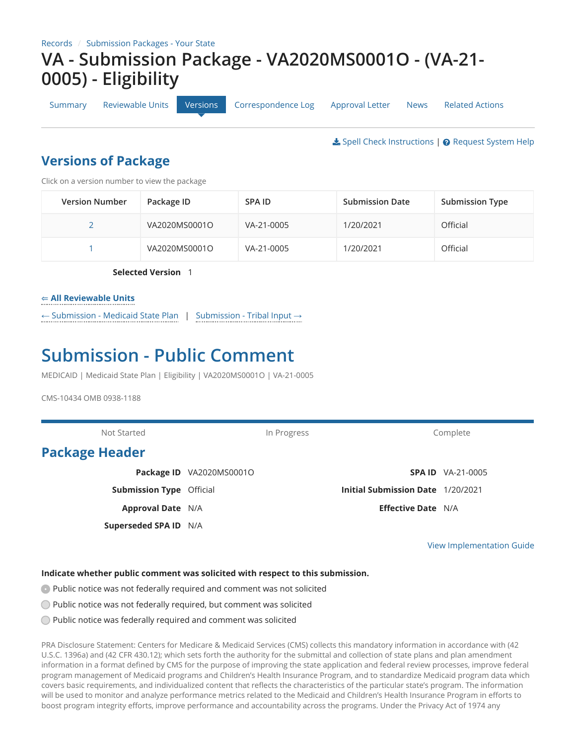[Summary](https://macpro.cms.gov/suite/tempo/records/item/lUBGxuxnAYNcw8V8rAl1iLjGcRpO0563FFKDcSDPuFMYpuiOsfFgFQcOtpY00haWWLNNI2msC18tEYyrkW-H6tuEyEh_s0lsRaaOcoe_wuAakZgERPq/view/summary) [Reviewable Units](https://macpro.cms.gov/suite/tempo/records/item/lUBGxuxnAYNcw8V8rAl1iLjGcRpO0563FFKDcSDPuFMYpuiOsfFgFQcOtpY00haWWLNNI2msC18tEYyrkW-H6tuEyEh_s0lsRaaOcoe_wuAakZgERPq/view/_Ee24cA) [Versions](https://macpro.cms.gov/suite/tempo/records/item/lUBGxuxnAYNcw8V8rAl1iLjGcRpO0563FFKDcSDPuFMYpuiOsfFgFQcOtpY00haWWLNNI2msC18tEYyrkW-H6tuEyEh_s0lsRaaOcoe_wuAakZgERPq/view/_NdilWg) [Correspondence Log](https://macpro.cms.gov/suite/tempo/records/item/lUBGxuxnAYNcw8V8rAl1iLjGcRpO0563FFKDcSDPuFMYpuiOsfFgFQcOtpY00haWWLNNI2msC18tEYyrkW-H6tuEyEh_s0lsRaaOcoe_wuAakZgERPq/view/_BR2Fow) [Approval Letter](https://macpro.cms.gov/suite/tempo/records/item/lUBGxuxnAYNcw8V8rAl1iLjGcRpO0563FFKDcSDPuFMYpuiOsfFgFQcOtpY00haWWLNNI2msC18tEYyrkW-H6tuEyEh_s0lsRaaOcoe_wuAakZgERPq/view/_FNAtnA) [News](https://macpro.cms.gov/suite/tempo/records/item/lUBGxuxnAYNcw8V8rAl1iLjGcRpO0563FFKDcSDPuFMYpuiOsfFgFQcOtpY00haWWLNNI2msC18tEYyrkW-H6tuEyEh_s0lsRaaOcoe_wuAakZgERPq/view/news) [Related Actions](https://macpro.cms.gov/suite/tempo/records/item/lUBGxuxnAYNcw8V8rAl1iLjGcRpO0563FFKDcSDPuFMYpuiOsfFgFQcOtpY00haWWLNNI2msC18tEYyrkW-H6tuEyEh_s0lsRaaOcoe_wuAakZgERPq/view/actions)

**₺** [Spell Check Instructions](https://macpro.cms.gov/suite/rest/a/content/latest/isBGxuxnAYNcw8V8rMhzGyzW96cnoVDx4Ch0bEqiNh8FUgjpTL-VteA6pop/o) | @ [Request System Help](https://macpro.cms.gov/suite/tempo/actions/item/kwBGxuxnAYNcw8V8rAkwGu9Ws3IqHhX_wU9otdoJLMmhXOqQS87I8m14_nwVm7Q7reI4a0_N17CPtC2I1RT020YD7s5BrD3DqT9xSWV)

### **Versions of Package**

Click on a version number to view the package

| <b>Version Number</b> | Package ID    | SPA ID     | <b>Submission Date</b> | <b>Submission Type</b> |
|-----------------------|---------------|------------|------------------------|------------------------|
|                       | VA2020MS0001O | VA-21-0005 | 1/20/2021              | Official               |
|                       | VA2020MS0001O | VA-21-0005 | 1/20/2021              | Official               |

**Selected Version** 1

#### <span id="page-5-0"></span>⇐ **[All Reviewable Units](#page-5-0)**

← [Submission - Medicaid State Plan](#page-5-0) | [Submission - Tribal Input](#page-5-0) →

## **Submission - Public Comment**

MEDICAID | Medicaid State Plan | Eligibility | VA2020MS0001O | VA-21-0005

CMS-10434 OMB 0938-1188

Not Started **In Progress** Complete **Package Header Package ID** VA2020MS0001O **Submission Type** Official **Approval Date** N/A **Superseded SPA ID** N/A **SPA ID** VA-21-0005 **Initial Submission Date** 1/20/2021 **Effective Date** N/A

[View Implementation Guide](https://macpro.cms.gov/suite/rest/a/content/latest/isBGxuxnAYNcw8V8rMhzWy7XaH2q8hznldFD1kjLeVL_4Zx2Mvy2LkwzSKB/o)

#### **Indicate whether public comment was solicited with respect to this submission.**

**Public notice was not federally required and comment was not solicited** 

- Public notice was not federally required, but comment was solicited
- Public notice was federally required and comment was solicited

PRA Disclosure Statement: Centers for Medicare & Medicaid Services (CMS) collects this mandatory information in accordance with (42 U.S.C. 1396a) and (42 CFR 430.12); which sets forth the authority for the submittal and collection of state plans and plan amendment information in a format defined by CMS for the purpose of improving the state application and federal review processes, improve federal program management of Medicaid programs and Children's Health Insurance Program, and to standardize Medicaid program data which covers basic requirements, and individualized content that reflects the characteristics of the particular state's program. The information will be used to monitor and analyze performance metrics related to the Medicaid and Children's Health Insurance Program in efforts to boost program integrity efforts, improve performance and accountability across the programs. Under the Privacy Act of 1974 any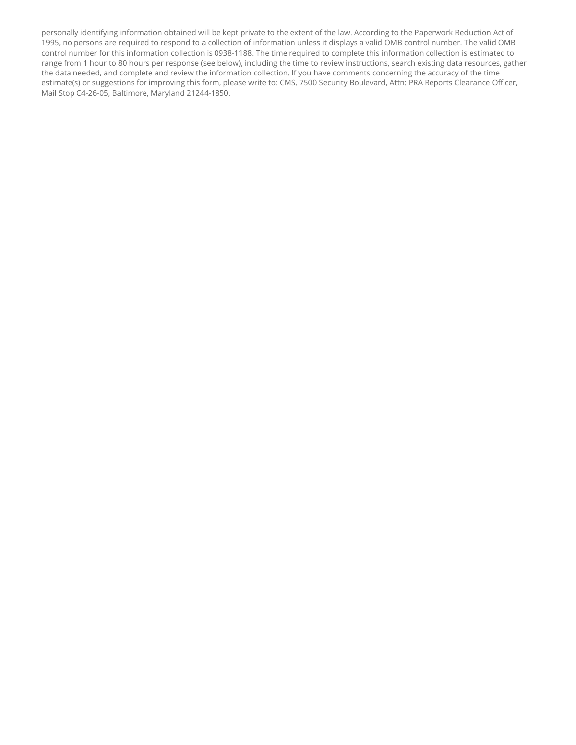personally identifying information obtained will be kept private to the extent of the law. According to the Paperwork Reduction Act of 1995, no persons are required to respond to a collection of information unless it displays a valid OMB control number. The valid OMB control number for this information collection is 0938-1188. The time required to complete this information collection is estimated to range from 1 hour to 80 hours per response (see below), including the time to review instructions, search existing data resources, gather the data needed, and complete and review the information collection. If you have comments concerning the accuracy of the time estimate(s) or suggestions for improving this form, please write to: CMS, 7500 Security Boulevard, Attn: PRA Reports Clearance Officer, Mail Stop C4-26-05, Baltimore, Maryland 21244-1850.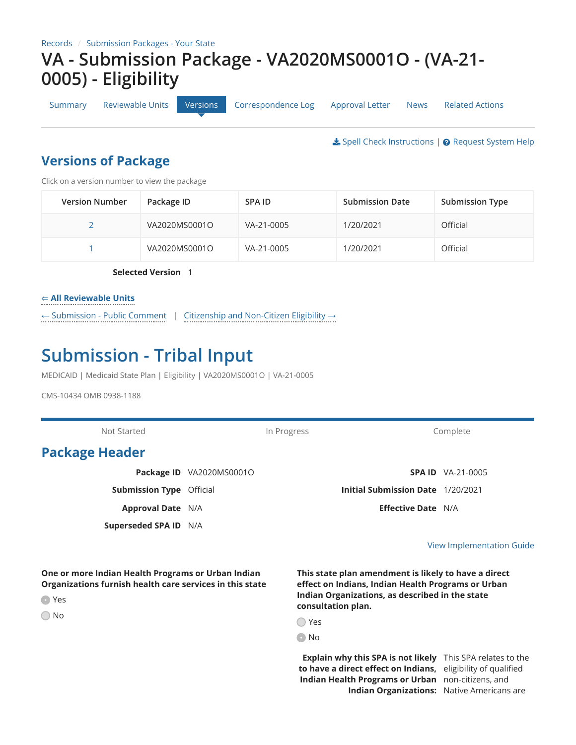[Summary](https://macpro.cms.gov/suite/tempo/records/item/lUBGxuxnAYNcw8V8rAl1iLjGcRpO0563FFKDcSDPuFMYpuiOsfFgFQcOtpY00haWWLNNI2msC18tEYyrkW-H6tuEyEh_s0lsRaaOcoe_wuAakZgERPq/view/summary) [Reviewable Units](https://macpro.cms.gov/suite/tempo/records/item/lUBGxuxnAYNcw8V8rAl1iLjGcRpO0563FFKDcSDPuFMYpuiOsfFgFQcOtpY00haWWLNNI2msC18tEYyrkW-H6tuEyEh_s0lsRaaOcoe_wuAakZgERPq/view/_Ee24cA) [Versions](https://macpro.cms.gov/suite/tempo/records/item/lUBGxuxnAYNcw8V8rAl1iLjGcRpO0563FFKDcSDPuFMYpuiOsfFgFQcOtpY00haWWLNNI2msC18tEYyrkW-H6tuEyEh_s0lsRaaOcoe_wuAakZgERPq/view/_NdilWg) [Correspondence Log](https://macpro.cms.gov/suite/tempo/records/item/lUBGxuxnAYNcw8V8rAl1iLjGcRpO0563FFKDcSDPuFMYpuiOsfFgFQcOtpY00haWWLNNI2msC18tEYyrkW-H6tuEyEh_s0lsRaaOcoe_wuAakZgERPq/view/_BR2Fow) [Approval Letter](https://macpro.cms.gov/suite/tempo/records/item/lUBGxuxnAYNcw8V8rAl1iLjGcRpO0563FFKDcSDPuFMYpuiOsfFgFQcOtpY00haWWLNNI2msC18tEYyrkW-H6tuEyEh_s0lsRaaOcoe_wuAakZgERPq/view/_FNAtnA) [News](https://macpro.cms.gov/suite/tempo/records/item/lUBGxuxnAYNcw8V8rAl1iLjGcRpO0563FFKDcSDPuFMYpuiOsfFgFQcOtpY00haWWLNNI2msC18tEYyrkW-H6tuEyEh_s0lsRaaOcoe_wuAakZgERPq/view/news) [Related Actions](https://macpro.cms.gov/suite/tempo/records/item/lUBGxuxnAYNcw8V8rAl1iLjGcRpO0563FFKDcSDPuFMYpuiOsfFgFQcOtpY00haWWLNNI2msC18tEYyrkW-H6tuEyEh_s0lsRaaOcoe_wuAakZgERPq/view/actions)

**₺** [Spell Check Instructions](https://macpro.cms.gov/suite/rest/a/content/latest/isBGxuxnAYNcw8V8rMhzGyzW96cnoVDx4Ch0bEqiNh8FUgjpTL-VteA6pop/o) | @ [Request System Help](https://macpro.cms.gov/suite/tempo/actions/item/kwBGxuxnAYNcw8V8rAkwGu9Ws3IqHhX_wU9otdoJLMmhXOqQS87I8m14_nwVm7Q7reI4a0_N17CPtC2I1RT020YD7s5BrD3DqT9xSWV)

### **Versions of Package**

Click on a version number to view the package

| <b>Version Number</b> | Package ID    | SPA ID     | <b>Submission Date</b> | <b>Submission Type</b> |
|-----------------------|---------------|------------|------------------------|------------------------|
|                       | VA2020MS0001O | VA-21-0005 | 1/20/2021              | Official               |
|                       | VA2020MS0001O | VA-21-0005 | 1/20/2021              | Official               |

**Selected Version** 1

#### <span id="page-7-0"></span>⇐ **[All Reviewable Units](#page-7-0)**

← [Submission - Public Comment](#page-7-0) | [Citizenship and Non-Citizen Eligibility](#page-7-0) →

## **Submission - Tribal Input**

MEDICAID | Medicaid State Plan | Eligibility | VA2020MS0001O | VA-21-0005

CMS-10434 OMB 0938-1188

Not Started **In Progress** Complete Complete **Package Header Package ID** VA2020MS0001O **Submission Type** Official **Approval Date** N/A **Superseded SPA ID** N/A **SPA ID** VA-21-0005 **Initial Submission Date** 1/20/2021 **Effective Date** N/A

#### [View Implementation Guide](https://macpro.cms.gov/suite/rest/a/content/latest/isBGxuxnAYNcw8V8rMhzW-5WqcQ7f3PR0h_ijHd9bXsXQ18-SNYc9IK-QYV/o)

**One or more Indian Health Programs or Urban Indian Organizations furnish health care services in this state**

**C** Yes

◯ No

**This state plan amendment is likely to have a direct effect on Indians, Indian Health Programs or Urban Indian Organizations, as described in the state consultation plan.**

| ×<br>۰.<br>v<br>× |
|-------------------|

No

**Explain why this SPA is not likely** This SPA relates to the **to have a direct effect on Indians,** eligibility of qualified **Indian Health Programs or Urban** non-citizens, and **Indian Organizations:** Native Americans are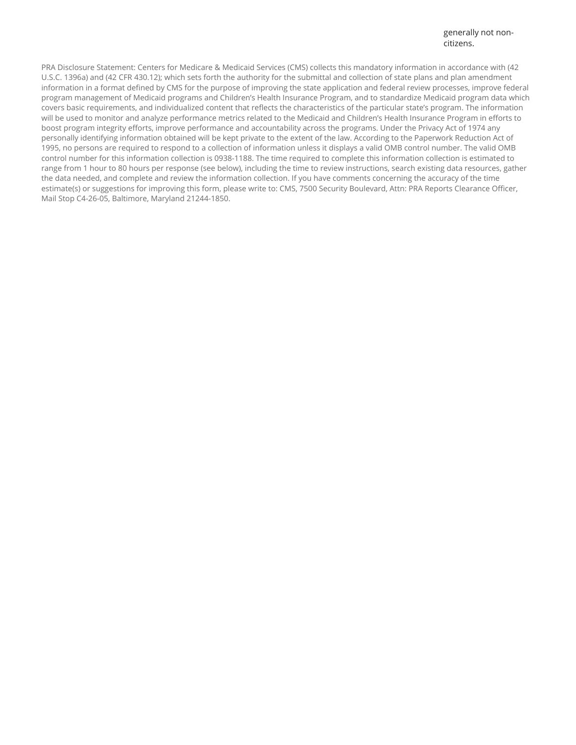PRA Disclosure Statement: Centers for Medicare & Medicaid Services (CMS) collects this mandatory information in accordance with (42 U.S.C. 1396a) and (42 CFR 430.12); which sets forth the authority for the submittal and collection of state plans and plan amendment information in a format defined by CMS for the purpose of improving the state application and federal review processes, improve federal program management of Medicaid programs and Children's Health Insurance Program, and to standardize Medicaid program data which covers basic requirements, and individualized content that reflects the characteristics of the particular state's program. The information will be used to monitor and analyze performance metrics related to the Medicaid and Children's Health Insurance Program in efforts to boost program integrity efforts, improve performance and accountability across the programs. Under the Privacy Act of 1974 any personally identifying information obtained will be kept private to the extent of the law. According to the Paperwork Reduction Act of 1995, no persons are required to respond to a collection of information unless it displays a valid OMB control number. The valid OMB control number for this information collection is 0938-1188. The time required to complete this information collection is estimated to range from 1 hour to 80 hours per response (see below), including the time to review instructions, search existing data resources, gather the data needed, and complete and review the information collection. If you have comments concerning the accuracy of the time estimate(s) or suggestions for improving this form, please write to: CMS, 7500 Security Boulevard, Attn: PRA Reports Clearance Officer, Mail Stop C4-26-05, Baltimore, Maryland 21244-1850.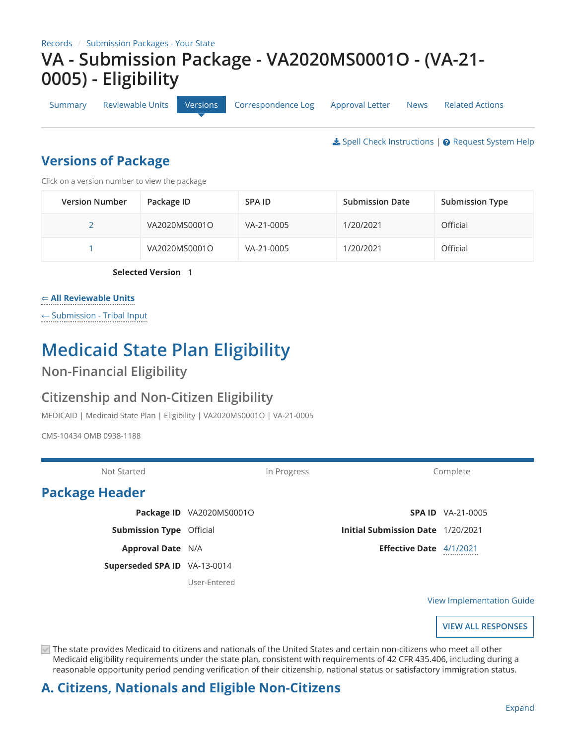[Summary](https://macpro.cms.gov/suite/tempo/records/item/lUBGxuxnAYNcw8V8rAl1iLjGcRpO0563FFKDcSDPuFMYpuiOsfFgFQcOtpY00haWWLNNI2msC18tEYyrkW-H6tuEyEh_s0lsRaaOcoe_wuAakZgERPq/view/summary) [Reviewable Units](https://macpro.cms.gov/suite/tempo/records/item/lUBGxuxnAYNcw8V8rAl1iLjGcRpO0563FFKDcSDPuFMYpuiOsfFgFQcOtpY00haWWLNNI2msC18tEYyrkW-H6tuEyEh_s0lsRaaOcoe_wuAakZgERPq/view/_Ee24cA) [Versions](https://macpro.cms.gov/suite/tempo/records/item/lUBGxuxnAYNcw8V8rAl1iLjGcRpO0563FFKDcSDPuFMYpuiOsfFgFQcOtpY00haWWLNNI2msC18tEYyrkW-H6tuEyEh_s0lsRaaOcoe_wuAakZgERPq/view/_NdilWg) [Correspondence Log](https://macpro.cms.gov/suite/tempo/records/item/lUBGxuxnAYNcw8V8rAl1iLjGcRpO0563FFKDcSDPuFMYpuiOsfFgFQcOtpY00haWWLNNI2msC18tEYyrkW-H6tuEyEh_s0lsRaaOcoe_wuAakZgERPq/view/_BR2Fow) [Approval Letter](https://macpro.cms.gov/suite/tempo/records/item/lUBGxuxnAYNcw8V8rAl1iLjGcRpO0563FFKDcSDPuFMYpuiOsfFgFQcOtpY00haWWLNNI2msC18tEYyrkW-H6tuEyEh_s0lsRaaOcoe_wuAakZgERPq/view/_FNAtnA) [News](https://macpro.cms.gov/suite/tempo/records/item/lUBGxuxnAYNcw8V8rAl1iLjGcRpO0563FFKDcSDPuFMYpuiOsfFgFQcOtpY00haWWLNNI2msC18tEYyrkW-H6tuEyEh_s0lsRaaOcoe_wuAakZgERPq/view/news) [Related Actions](https://macpro.cms.gov/suite/tempo/records/item/lUBGxuxnAYNcw8V8rAl1iLjGcRpO0563FFKDcSDPuFMYpuiOsfFgFQcOtpY00haWWLNNI2msC18tEYyrkW-H6tuEyEh_s0lsRaaOcoe_wuAakZgERPq/view/actions)

**₺** [Spell Check Instructions](https://macpro.cms.gov/suite/rest/a/content/latest/isBGxuxnAYNcw8V8rMhzGyzW96cnoVDx4Ch0bEqiNh8FUgjpTL-VteA6pop/o) | @ [Request System Help](https://macpro.cms.gov/suite/tempo/actions/item/kwBGxuxnAYNcw8V8rAkwGu9Ws3IqHhX_wU9otdoJLMmhXOqQS87I8m14_nwVm7Q7reI4a0_N17CPtC2I1RT020YD7s5BrD3DqT9xSWV)

### **Versions of Package**

Click on a version number to view the package

| <b>Version Number</b> | Package ID    | SPA ID     | <b>Submission Date</b> | <b>Submission Type</b> |
|-----------------------|---------------|------------|------------------------|------------------------|
|                       | VA2020MS0001O | VA-21-0005 | 1/20/2021              | Official               |
|                       | VA2020MS0001O | VA-21-0005 | 1/20/2021              | Official               |

**Selected Version** 1

#### ⇐ **[All Reviewable Units](#page-9-0)**

← [Submission - Tribal Input](#page-9-0)

# **Medicaid State Plan Eligibility**

### **Non-Financial Eligibility**

### **Citizenship and Non-Citizen Eligibility**

MEDICAID | Medicaid State Plan | Eligibility | VA2020MS0001O | VA-21-0005

CMS-10434 OMB 0938-1188

| Not Started                     | In Progress              |  | Complete                                 |                          |
|---------------------------------|--------------------------|--|------------------------------------------|--------------------------|
| <b>Package Header</b>           |                          |  |                                          |                          |
|                                 | Package ID VA2020MS0001O |  |                                          | <b>SPA ID</b> VA-21-0005 |
| <b>Submission Type Official</b> |                          |  | <b>Initial Submission Date 1/20/2021</b> |                          |
| <b>Approval Date N/A</b>        |                          |  | <b>Effective Date</b> 4/1/2021           | -----------------        |
| Superseded SPA ID VA-13-0014    |                          |  |                                          |                          |
|                                 | User-Entered             |  |                                          |                          |

[View Implementation Guide](https://macpro.cms.gov/suite/rest/a/content/latest/ioBGxuxnAYNcw8V8ropzGy6X3FvKSzv37zeGtRi7gYfEHqMI3RwW3qoPsQ/o)

**VIEW ALL RESPONSES**

 $\triangledown$  The state provides Medicaid to citizens and nationals of the United States and certain non-citizens who meet all other Medicaid eligibility requirements under the state plan, consistent with requirements of 42 CFR 435.406, including during a reasonable opportunity period pending verification of their citizenship, national status or satisfactory immigration status.

### **A. Citizens, Nationals and Eligible Non-Citizens**